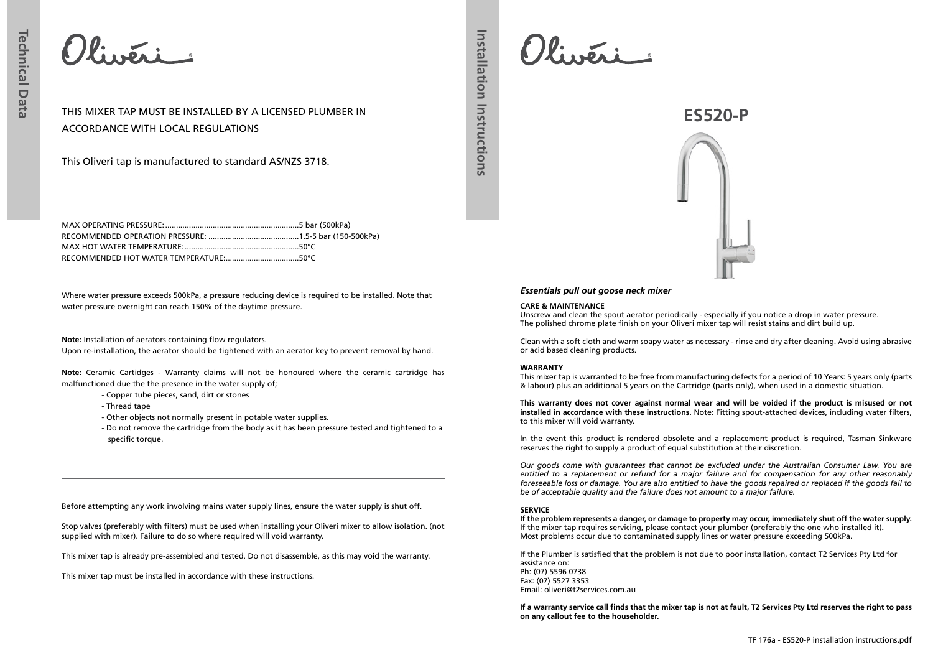Olivéri

THIS MIXER TAP MUST BE INSTALLED BY A LICENSED PLUMBER IN ACCORDANCE WITH LOCAL REGULATIONS

This Oliveri tap is manufactured to standard AS/NZS 3718.

Where water pressure exceeds 500kPa, a pressure reducing device is required to be installed. Note that water pressure overnight can reach 150% of the daytime pressure. **CARE & MAINTENANCE**

**Note:** Installation of aerators containing flow regulators. Upon re-installation, the aerator should be tightened with an aerator key to prevent removal by hand.

**Note:** Ceramic Cartidges - Warranty claims will not be honoured where the ceramic cartridge has malfunctioned due the the presence in the water supply of;

- Copper tube pieces, sand, dirt or stones
- Thread tape
- Other objects not normally present in potable water supplies.
- Do not remove the cartridge from the body as it has been pressure tested and tightened to a specific torque.

Before attempting any work involving mains water supply lines, ensure the water supply is shut off.

Stop valves (preferably with filters) must be used when installing your Oliveri mixer to allow isolation. (not supplied with mixer). Failure to do so where required will void warranty.

This mixer tap is already pre-assembled and tested. Do not disassemble, as this may void the warranty.

This mixer tap must be installed in accordance with these instructions.

Olivéri

**Installation Instructions**

Installation Instructions



# *Essentials pull out goose neck mixer*

Unscrew and clean the spout aerator periodically - especially if you notice a drop in water pressure. The polished chrome plate finish on your Oliveri mixer tap will resist stains and dirt build up.

Clean with a soft cloth and warm soapy water as necessary - rinse and dry after cleaning. Avoid using abrasive or acid based cleaning products.

# **WARRANTY**

This mixer tap is warranted to be free from manufacturing defects for a period of 10 Years: 5 years only (parts & labour) plus an additional 5 years on the Cartridge (parts only), when used in a domestic situation.

**This warranty does not cover against normal wear and will be voided if the product is misused or not installed in accordance with these instructions.** Note: Fitting spout-attached devices, including water filters, to this mixer will void warranty.

In the event this product is rendered obsolete and a replacement product is required, Tasman Sinkware reserves the right to supply a product of equal substitution at their discretion.

*Our goods come with guarantees that cannot be excluded under the Australian Consumer Law. You are entitled to a replacement or refund for a major failure and for compensation for any other reasonably foreseeable loss or damage. You are also entitled to have the goods repaired or replaced if the goods fail to be of acceptable quality and the failure does not amount to a major failure.* 

# **SERVICE**

**If the problem represents a danger, or damage to property may occur, immediately shut off the water supply.** If the mixer tap requires servicing, please contact your plumber (preferably the one who installed it)**.** Most problems occur due to contaminated supply lines or water pressure exceeding 500kPa.

If the Plumber is satisfied that the problem is not due to poor installation, contact T2 Services Pty Ltd for assistance on: Ph: (07) 5596 0738 Fax: (07) 5527 3353 Email: oliveri@t2services.com.au

**If a warranty service call finds that the mixer tap is not at fault, T2 Services Pty Ltd reserves the right to pass on any callout fee to the householder.**